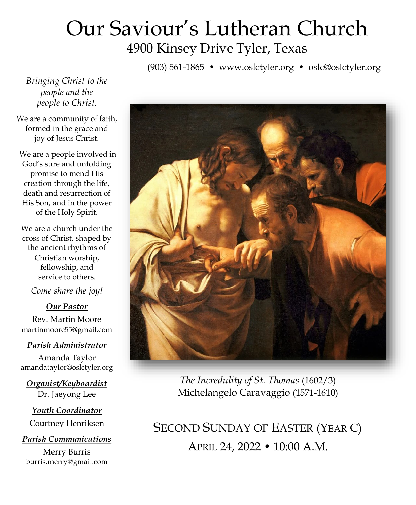# Our Saviour's Lutheran Church 4900 Kinsey Drive Tyler, Texas

(903) 561-1865 • www.oslctyler.org • oslc@oslctyler.org

*Bringing Christ to the people and the people to Christ.*

We are a community of faith, formed in the grace and joy of Jesus Christ.

We are a people involved in God's sure and unfolding promise to mend His creation through the life, death and resurrection of His Son, and in the power of the Holy Spirit.

We are a church under the cross of Christ, shaped by the ancient rhythms of Christian worship, fellowship, and service to others.

*Come share the joy!*

#### *Our Pastor*

Rev. Martin Moore martinmoore55@gmail.com

#### *Parish Administrator*

Amanda Taylor amandataylor@oslctyler.org

*Organist/Keyboardist* Dr. Jaeyong Lee

*Youth Coordinator* Courtney Henriksen

#### *Parish Communications*

Merry Burris burris.merry@gmail.com



*The Incredulity of St. Thomas* (1602/3) Michelangelo Caravaggio (1571-1610)

SECOND SUNDAY OF EASTER (YEAR C) APRIL 24, 2022 • 10:00 A.M.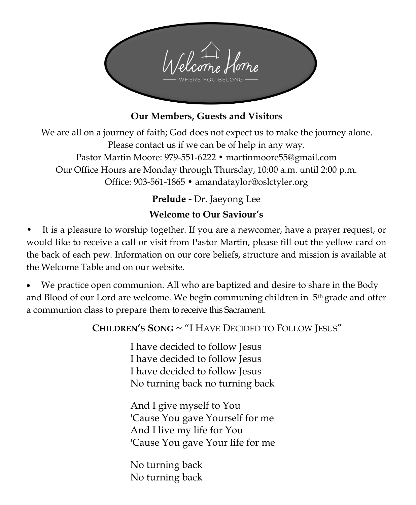

## **Our Members, Guests and Visitors**

We are all on a journey of faith; God does not expect us to make the journey alone. Please contact us if we can be of help in any way. Pastor Martin Moore: 979-551-6222 • martinmoore55@gmail.com Our Office Hours are Monday through Thursday, 10:00 a.m. until 2:00 p.m. Office: 903-561-1865 • amandataylor@oslctyler.org

**Prelude -** Dr. Jaeyong Lee

# **Welcome to Our Saviour's**

It is a pleasure to worship together. If you are a newcomer, have a prayer request, or would like to receive a call or visit from Pastor Martin, please fill out the yellow card on the back of each pew. Information on our core beliefs, structure and mission is available at the Welcome Table and on our website.

• We practice open communion. All who are baptized and desire to share in the Body and Blood of our Lord are welcome. We begin communing children in 5th grade and offer a communion class to prepare them to receive this Sacrament.

 **CHILDREN'S SONG ~** "I HAVE DECIDED TO FOLLOW JESUS"

I have decided to follow Jesus I have decided to follow Jesus I have decided to follow Jesus No turning back no turning back

And I give myself to You 'Cause You gave Yourself for me And I live my life for You 'Cause You gave Your life for me

No turning back No turning back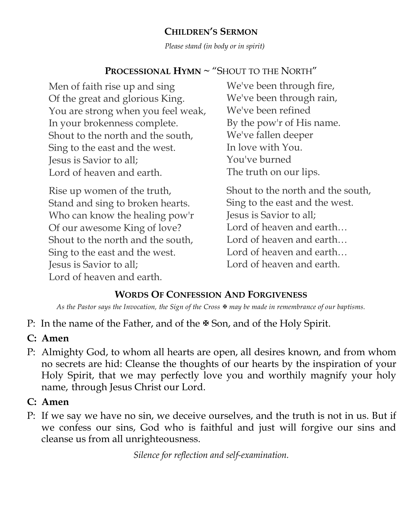# **CHILDREN'S SERMON**

*Please stand (in body or in spirit)*

## **PROCESSIONAL HYMN ~** "SHOUT TO THE NORTH"

Men of faith rise up and sing Of the great and glorious King. You are strong when you feel weak, In your brokenness complete. Shout to the north and the south, Sing to the east and the west. Jesus is Savior to all; Lord of heaven and earth.

Rise up women of the truth, Stand and sing to broken hearts. Who can know the healing pow'r Of our awesome King of love? Shout to the north and the south, Sing to the east and the west. Jesus is Savior to all; Lord of heaven and earth.

We've been through fire, We've been through rain, We've been refined By the pow'r of His name. We've fallen deeper In love with You. You've burned The truth on our lips.

Shout to the north and the south, Sing to the east and the west. Jesus is Savior to all; Lord of heaven and earth… Lord of heaven and earth… Lord of heaven and earth… Lord of heaven and earth.

## **WORDS OF CONFESSION AND FORGIVENESS**

*As the Pastor says the Invocation, the Sign of the Cross may be made in remembrance of our baptisms.* 

P: In the name of the Father, and of the ₩ Son, and of the Holy Spirit.

## **C: Amen**

P: Almighty God, to whom all hearts are open, all desires known, and from whom no secrets are hid: Cleanse the thoughts of our hearts by the inspiration of your Holy Spirit, that we may perfectly love you and worthily magnify your holy name, through Jesus Christ our Lord.

# **C: Amen**

P: If we say we have no sin, we deceive ourselves, and the truth is not in us. But if we confess our sins, God who is faithful and just will forgive our sins and cleanse us from all unrighteousness.

*Silence for reflection and self-examination.*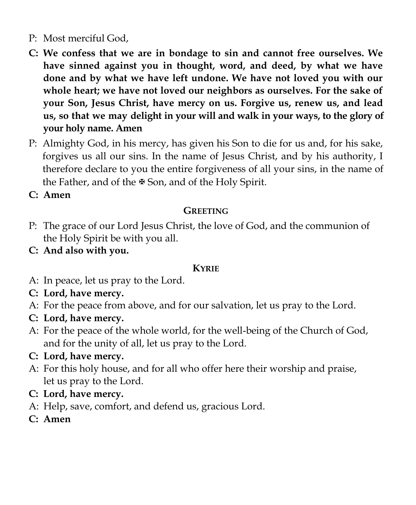- P: Most merciful God,
- **C: We confess that we are in bondage to sin and cannot free ourselves. We have sinned against you in thought, word, and deed, by what we have done and by what we have left undone. We have not loved you with our whole heart; we have not loved our neighbors as ourselves. For the sake of your Son, Jesus Christ, have mercy on us. Forgive us, renew us, and lead us, so that we may delight in your will and walk in your ways, to the glory of your holy name. Amen**
- P: Almighty God, in his mercy, has given his Son to die for us and, for his sake, forgives us all our sins. In the name of Jesus Christ, and by his authority, I therefore declare to you the entire forgiveness of all your sins, in the name of the Father, and of the  $\mathbb F$  Son, and of the Holy Spirit.
- **C: Amen**

# **GREETING**

- P: The grace of our Lord Jesus Christ, the love of God, and the communion of the Holy Spirit be with you all.
- **C: And also with you.**

## **KYRIE**

- A: In peace, let us pray to the Lord.
- **C: Lord, have mercy.**
- A: For the peace from above, and for our salvation, let us pray to the Lord.
- **C: Lord, have mercy.**
- A: For the peace of the whole world, for the well-being of the Church of God, and for the unity of all, let us pray to the Lord.
- **C: Lord, have mercy.**
- A: For this holy house, and for all who offer here their worship and praise, let us pray to the Lord.
- **C: Lord, have mercy.**
- A: Help, save, comfort, and defend us, gracious Lord.
- **C: Amen**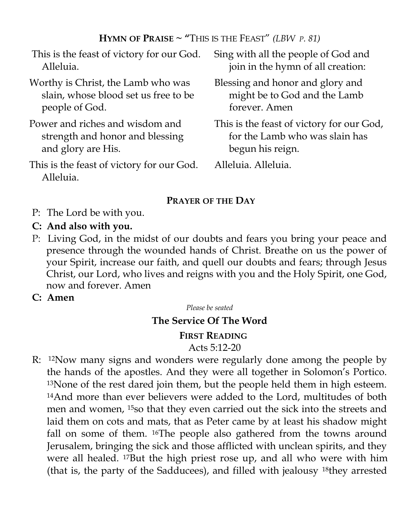## **HYMN OF PRAISE**  $\sim$  "This is the Feast" *(LBW p. 81)*

- This is the feast of victory for our God. Alleluia.
- Worthy is Christ, the Lamb who was slain, whose blood set us free to be people of God.
- Power and riches and wisdom and strength and honor and blessing and glory are His.
- This is the feast of victory for our God. Alleluia.
- Sing with all the people of God and join in the hymn of all creation:
- Blessing and honor and glory and might be to God and the Lamb forever. Amen
- This is the feast of victory for our God, for the Lamb who was slain has begun his reign.

Alleluia. Alleluia.

#### **PRAYER OF THE DAY**

- P: The Lord be with you.
- **C: And also with you.**
- P: Living God, in the midst of our doubts and fears you bring your peace and presence through the wounded hands of Christ. Breathe on us the power of your Spirit, increase our faith, and quell our doubts and fears; through Jesus Christ, our Lord, who lives and reigns with you and the Holy Spirit, one God, now and forever. Amen
- **C: Amen**

*Please be seated*

## **The Service Of The Word**

**FIRST READING**

Acts 5:12-20

R: 12Now many signs and wonders were regularly done among the people by the hands of the apostles. And they were all together in Solomon's Portico. <sup>13</sup>None of the rest dared join them, but the people held them in high esteem. <sup>14</sup>And more than ever believers were added to the Lord, multitudes of both men and women, 15so that they even carried out the sick into the streets and laid them on cots and mats, that as Peter came by at least his shadow might fall on some of them. 16The people also gathered from the towns around Jerusalem, bringing the sick and those afflicted with unclean spirits, and they were all healed. 17But the high priest rose up, and all who were with him (that is, the party of the Sadducees), and filled with jealousy 18they arrested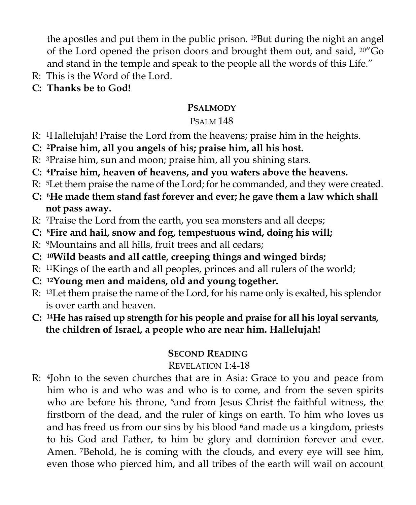the apostles and put them in the public prison. 19But during the night an angel of the Lord opened the prison doors and brought them out, and said, 20"Go and stand in the temple and speak to the people all the words of this Life."

- R: This is the Word of the Lord.
- **C: Thanks be to God!**

## **PSALMODY**

## **PSALM 148**

- R: 1Hallelujah! Praise the Lord from the heavens; praise him in the heights.
- **C: 2Praise him, all you angels of his; praise him, all his host.**
- R: 3Praise him, sun and moon; praise him, all you shining stars.
- **C: 4Praise him, heaven of heavens, and you waters above the heavens.**
- R: 5Let them praise the name of the Lord; for he commanded, and they were created.
- **C: 6He made them stand fast forever and ever; he gave them a law which shall not pass away.**
- R: 7Praise the Lord from the earth, you sea monsters and all deeps;
- **C: 8Fire and hail, snow and fog, tempestuous wind, doing his will;**
- R: 9Mountains and all hills, fruit trees and all cedars;
- **C: 10Wild beasts and all cattle, creeping things and winged birds;**
- R: 11Kings of the earth and all peoples, princes and all rulers of the world;
- **C: 12Young men and maidens, old and young together.**
- R: 13Let them praise the name of the Lord, for his name only is exalted, his splendor is over earth and heaven.
- **C: 14He has raised up strength for his people and praise for all his loyal servants, the children of Israel, a people who are near him. Hallelujah!**

## **SECOND READING**

## REVELATION 1:4-18

R: 4John to the seven churches that are in Asia: Grace to you and peace from him who is and who was and who is to come, and from the seven spirits who are before his throne, <sup>5</sup> and from Jesus Christ the faithful witness, the firstborn of the dead, and the ruler of kings on earth. To him who loves us and has freed us from our sins by his blood <sup>6</sup>and made us a kingdom, priests to his God and Father, to him be glory and dominion forever and ever. Amen. 7Behold, he is coming with the clouds, and every eye will see him, even those who pierced him, and all tribes of the earth will wail on account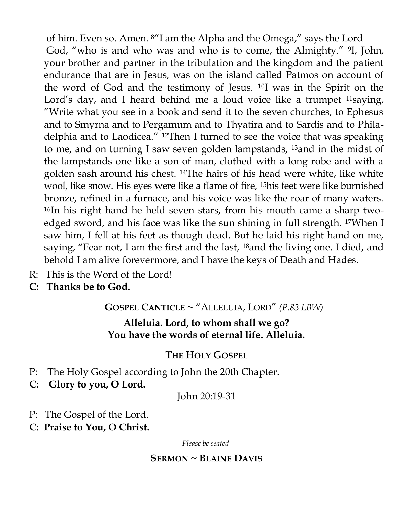of him. Even so. Amen. 8"I am the Alpha and the Omega," says the Lord God, "who is and who was and who is to come, the Almighty." <sup>9</sup>I, John, your brother and partner in the tribulation and the kingdom and the patient endurance that are in Jesus, was on the island called Patmos on account of the word of God and the testimony of Jesus. 10I was in the Spirit on the Lord's day, and I heard behind me a loud voice like a trumpet <sup>11</sup>saying, "Write what you see in a book and send it to the seven churches, to Ephesus and to Smyrna and to Pergamum and to Thyatira and to Sardis and to Philadelphia and to Laodicea." 12Then I turned to see the voice that was speaking to me, and on turning I saw seven golden lampstands, 13and in the midst of the lampstands one like a son of man, clothed with a long robe and with a golden sash around his chest. 14The hairs of his head were white, like white wool, like snow. His eyes were like a flame of fire, 15his feet were like burnished bronze, refined in a furnace, and his voice was like the roar of many waters. 16In his right hand he held seven stars, from his mouth came a sharp twoedged sword, and his face was like the sun shining in full strength. 17When I saw him, I fell at his feet as though dead. But he laid his right hand on me, saying, "Fear not, I am the first and the last, 18and the living one. I died, and behold I am alive forevermore, and I have the keys of Death and Hades.

- R: This is the Word of the Lord!
- **C: Thanks be to God.**

# **GOSPEL CANTICLE ~** "ALLELUIA, LORD" *(P.83 LBW)*

# **Alleluia. Lord, to whom shall we go? You have the words of eternal life. Alleluia.**

# **THE HOLY GOSPEL**

- P: The Holy Gospel according to John the 20th Chapter.
- **C: Glory to you, O Lord.**

## John 20:19-31

- P: The Gospel of the Lord.
- **C: Praise to You, O Christ.**

*Please be seated*

#### **SERMON ~ BLAINE DAVIS**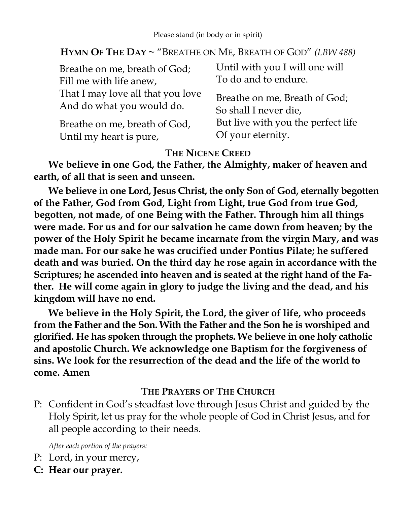**HYMN OF THE DAY ~** "BREATHE ON ME, BREATH OF GOD" *(LBW 488)*

| Breathe on me, breath of God;     | Until with you I will one will     |
|-----------------------------------|------------------------------------|
| Fill me with life anew,           | To do and to endure.               |
| That I may love all that you love | Breathe on me, Breath of God;      |
| And do what you would do.         | So shall I never die,              |
| Breathe on me, breath of God,     | But live with you the perfect life |
| Until my heart is pure,           | Of your eternity.                  |

## **THE NICENE CREED**

**We believe in one God, the Father, the Almighty, maker of heaven and earth, of all that is seen and unseen.**

**We believe in one Lord, Jesus Christ, the only Son of God, eternally begotten of the Father, God from God, Light from Light, true God from true God, begotten, not made, of one Being with the Father. Through him all things were made. For us and for our salvation he came down from heaven; by the power of the Holy Spirit he became incarnate from the virgin Mary, and was made man. For our sake he was crucified under Pontius Pilate; he suffered death and was buried. On the third day he rose again in accordance with the Scriptures; he ascended into heaven and is seated at the right hand of the Father. He will come again in glory to judge the living and the dead, and his kingdom will have no end.**

**We believe in the Holy Spirit, the Lord, the giver of life, who proceeds from the Father and the Son. With the Father and the Son he is worshiped and glorified. He has spoken through the prophets. We believe in one holy catholic and apostolic Church. We acknowledge one Baptism for the forgiveness of sins. We look for the resurrection of the dead and the life of the world to come. Amen**

# **THE PRAYERS OF THE CHURCH**

P: Confident in God's steadfast love through Jesus Christ and guided by the Holy Spirit, let us pray for the whole people of God in Christ Jesus, and for all people according to their needs.

*After each portion of the prayers:*

- P: Lord, in your mercy,
- **C: Hear our prayer.**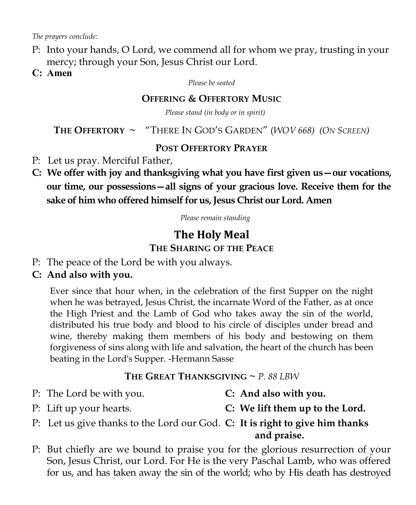*The prayers conclude:*

- P: Into your hands, O Lord, we commend all for whom we pray, trusting in your mercy; through your Son, Jesus Christ our Lord.
- **C: Amen**

*Please be seated*

#### **OFFERING & OFFERTORY MUSIC**

*Please stand (in body or in spirit)*

**THE OFFERTORY** *~* "THERE IN GOD'S GARDEN" (*WOV 668) (ON SCREEN)*

### **POST OFFERTORY PRAYER**

- P: Let us pray. Merciful Father,
- **C: We offer with joy and thanksgiving what you have first given us—our vocations, our time, our possessions—all signs of your gracious love. Receive them for the sake of him who offered himself for us, Jesus Christ our Lord. Amen**

*Please remain standing* 

## **The Holy Meal THE SHARING OF THE PEACE**

- P: The peace of the Lord be with you always.
- **C: And also with you.**

Ever since that hour when, in the celebration of the first Supper on the night when he was betrayed, Jesus Christ, the incarnate Word of the Father, as at once the High Priest and the Lamb of God who takes away the sin of the world, distributed his true body and blood to his circle of disciples under bread and wine, thereby making them members of his body and bestowing on them forgiveness of sins along with life and salvation, the heart of the church has been beating in the Lord's Supper. -Hermann Sasse

## **THE GREAT THANKSGIVING ~** *P. 88 LBW*

- P: The Lord be with you. **C: And also with you.**
- 
- P: Lift up your hearts. **C: We lift them up to the Lord.**
- 
- P: Let us give thanks to the Lord our God. **C: It is right to give him thanks and praise.**
- P: But chiefly are we bound to praise you for the glorious resurrection of your Son, Jesus Christ, our Lord. For He is the very Paschal Lamb, who was offered for us, and has taken away the sin of the world; who by His death has destroyed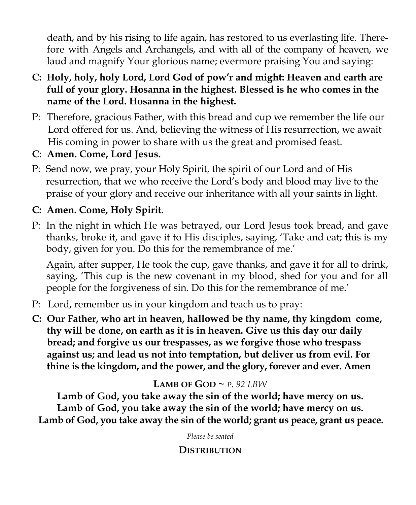death, and by his rising to life again, has restored to us everlasting life. Therefore with Angels and Archangels, and with all of the company of heaven, we laud and magnify Your glorious name; evermore praising You and saying:

- **C: Holy, holy, holy Lord, Lord God of pow'r and might: Heaven and earth are full of your glory. Hosanna in the highest. Blessed is he who comes in the name of the Lord. Hosanna in the highest.**
- P: Therefore, gracious Father, with this bread and cup we remember the life our Lord offered for us. And, believing the witness of His resurrection, we await His coming in power to share with us the great and promised feast.
- **C**: **Amen. Come, Lord Jesus.**
- P: Send now, we pray, your Holy Spirit, the spirit of our Lord and of His resurrection, that we who receive the Lord's body and blood may live to the praise of your glory and receive our inheritance with all your saints in light.

# **C: Amen. Come, Holy Spirit.**

P: In the night in which He was betrayed, our Lord Jesus took bread, and gave thanks, broke it, and gave it to His disciples, saying, 'Take and eat; this is my body, given for you. Do this for the remembrance of me.'

Again, after supper, He took the cup, gave thanks, and gave it for all to drink, saying, 'This cup is the new covenant in my blood, shed for you and for all people for the forgiveness of sin. Do this for the remembrance of me.'

- P: Lord, remember us in your kingdom and teach us to pray:
- **C: Our Father, who art in heaven, hallowed be thy name, thy kingdom come, thy will be done, on earth as it is in heaven. Give us this day our daily bread; and forgive us our trespasses, as we forgive those who trespass against us; and lead us not into temptation, but deliver us from evil. For thine is the kingdom, and the power, and the glory, forever and ever. Amen**

# **LAMB OF GOD**  $\sim$  *P.* 92 LBW

**Lamb of God, you take away the sin of the world; have mercy on us. Lamb of God, you take away the sin of the world; have mercy on us. Lamb of God, you take away the sin of the world; grant us peace, grant us peace.**

*Please be seated*

## **DISTRIBUTION**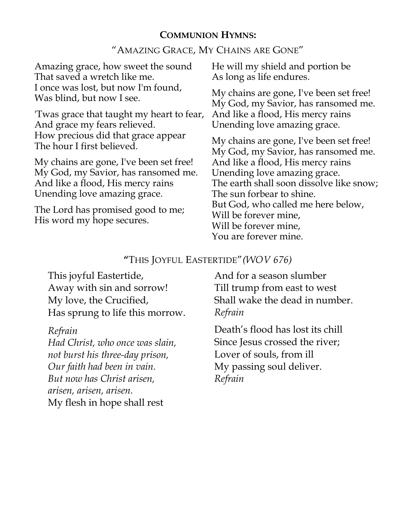#### **COMMUNION HYMNS:**

#### "AMAZING GRACE, MY CHAINS ARE GONE"

| Amazing grace, how sweet the sound                             | He will my shield and portion be                                                                              |
|----------------------------------------------------------------|---------------------------------------------------------------------------------------------------------------|
| That saved a wretch like me.                                   | As long as life endures.                                                                                      |
| I once was lost, but now I'm found,                            | My chains are gone, I've been set free!                                                                       |
| Was blind, but now I see.                                      | My God, my Savior, has ransomed me.                                                                           |
| Twas grace that taught my heart to fear,                       | And like a flood, His mercy rains                                                                             |
| And grace my fears relieved.                                   | Unending love amazing grace.                                                                                  |
| How precious did that grace appear                             | My chains are gone, I've been set free!                                                                       |
| The hour I first believed.                                     | My God, my Savior, has ransomed me.                                                                           |
| My chains are gone, I've been set free!                        | And like a flood, His mercy rains                                                                             |
| My God, my Savior, has ransomed me.                            | Unending love amazing grace.                                                                                  |
| And like a flood, His mercy rains                              | The earth shall soon dissolve like snow;                                                                      |
| Unending love amazing grace.                                   | The sun forbear to shine.                                                                                     |
| The Lord has promised good to me;<br>His word my hope secures. | But God, who called me here below,<br>Will be forever mine,<br>Will be forever mine,<br>You are forever mine. |

## **"**THIS JOYFUL EASTERTIDE"*(WOV 676)*

This joyful Eastertide, Away with sin and sorrow! My love, the Crucified, Has sprung to life this morrow.

#### *Refrain*

*Had Christ, who once was slain, not burst his three-day prison, Our faith had been in vain. But now has Christ arisen, arisen, arisen, arisen.* My flesh in hope shall rest

And for a season slumber Till trump from east to west Shall wake the dead in number. *Refrain*

Death's flood has lost its chill Since Jesus crossed the river; Lover of souls, from ill My passing soul deliver. *Refrain*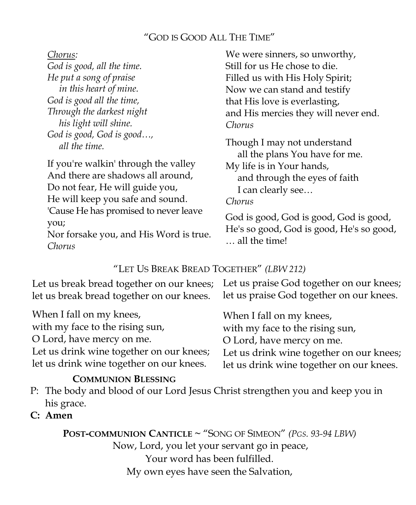## "GOD IS GOOD ALL THE TIME"

*Chorus:*

| God is good, all the time. |
|----------------------------|
| He put a song of praise    |
| in this heart of mine.     |
| God is good all the time,  |
| Through the darkest night  |
| his light will shine.      |
| God is good, God is good,  |
| all the time.              |

If you're walkin' through the valley And there are shadows all around, Do not fear, He will guide you, He will keep you safe and sound. 'Cause He has promised to never leave you; Nor forsake you, and His Word is true. *Chorus*

We were sinners, so unworthy, Still for us He chose to die. Filled us with His Holy Spirit; Now we can stand and testify that His love is everlasting, and His mercies they will never end. *Chorus*

Though I may not understand all the plans You have for me. My life is in Your hands, and through the eyes of faith I can clearly see… *Chorus*

God is good, God is good, God is good, He's so good, God is good, He's so good, … all the time!

# "LET US BREAK BREAD TOGETHER" *(LBW 212)*

| Let us praise God together on our knees; |
|------------------------------------------|
| let us praise God together on our knees. |
| When I fall on my knees,                 |
| with my face to the rising sun,          |
| O Lord, have mercy on me.                |
| Let us drink wine together on our knees; |
| let us drink wine together on our knees. |
|                                          |

# **COMMUNION BLESSING**

P: The body and blood of our Lord Jesus Christ strengthen you and keep you in his grace.

## **C: Amen**

**POST-COMMUNION CANTICLE ~** "SONG OF SIMEON" *(PGS. 93-94 LBW)*  Now, Lord, you let your servant go in peace, Your word has been fulfilled. My own eyes have seen the Salvation,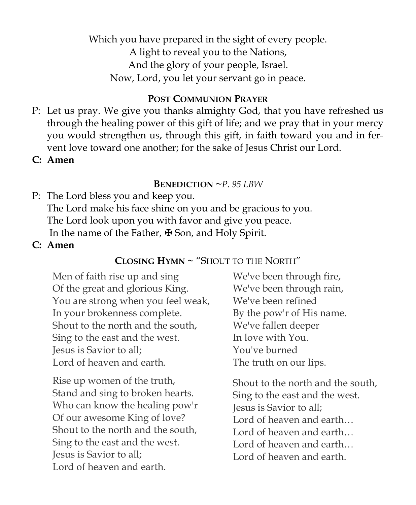Which you have prepared in the sight of every people. A light to reveal you to the Nations, And the glory of your people, Israel. Now, Lord, you let your servant go in peace.

#### **POST COMMUNION PRAYER**

P: Let us pray. We give you thanks almighty God, that you have refreshed us through the healing power of this gift of life; and we pray that in your mercy you would strengthen us, through this gift, in faith toward you and in fervent love toward one another; for the sake of Jesus Christ our Lord.

**C: Amen** 

#### **BENEDICTION ~***P. 95 LBW*

P: The Lord bless you and keep you. The Lord make his face shine on you and be gracious to you. The Lord look upon you with favor and give you peace. In the name of the Father, ✠ Son, and Holy Spirit.

**C: Amen** 

**CLOSING HYMN ~** "SHOUT TO THE NORTH"

Men of faith rise up and sing Of the great and glorious King. You are strong when you feel weak, In your brokenness complete. Shout to the north and the south, Sing to the east and the west. Jesus is Savior to all; Lord of heaven and earth.

Rise up women of the truth, Stand and sing to broken hearts. Who can know the healing pow'r Of our awesome King of love? Shout to the north and the south, Sing to the east and the west. Jesus is Savior to all; Lord of heaven and earth.

We've been through fire, We've been through rain, We've been refined By the pow'r of His name. We've fallen deeper In love with You. You've burned The truth on our lips.

Shout to the north and the south, Sing to the east and the west. Jesus is Savior to all; Lord of heaven and earth… Lord of heaven and earth… Lord of heaven and earth Lord of heaven and earth.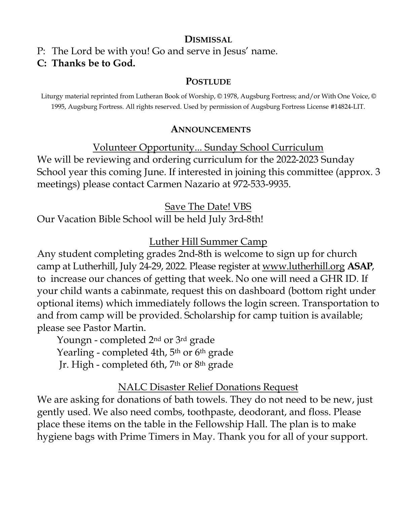## **DISMISSAL**

P: The Lord be with you! Go and serve in Jesus' name.

## **C: Thanks be to God.**

## **POSTLUDE**

Liturgy material reprinted from Lutheran Book of Worship, © 1978, Augsburg Fortress; and/or With One Voice, © 1995, Augsburg Fortress. All rights reserved. Used by permission of Augsburg Fortress License #14824-LIT.

## **ANNOUNCEMENTS**

Volunteer Opportunity... Sunday School Curriculum We will be reviewing and ordering curriculum for the 2022-2023 Sunday School year this coming June. If interested in joining this committee (approx. 3 meetings) please contact Carmen Nazario at 972-533-9935.

Save The Date! VBS

Our Vacation Bible School will be held July 3rd-8th!

# Luther Hill Summer Camp

Any student completing grades 2nd-8th is welcome to sign up for church camp at Lutherhill, July 24-29, 2022. Please register at [www.lutherhill.org](http://www.luterhill.org) **ASAP**, to increase our chances of getting that week. No one will need a GHR ID. If your child wants a cabinmate, request this on dashboard (bottom right under optional items) which immediately follows the login screen. Transportation to and from camp will be provided. Scholarship for camp tuition is available; please see Pastor Martin.

Youngn - completed 2nd or 3rd grade Yearling - completed 4th, 5<sup>th</sup> or 6<sup>th</sup> grade Jr. High - completed 6th, 7th or 8th grade

# NALC Disaster Relief Donations Request

We are asking for donations of bath towels. They do not need to be new, just gently used. We also need combs, toothpaste, deodorant, and floss. Please place these items on the table in the Fellowship Hall. The plan is to make hygiene bags with Prime Timers in May. Thank you for all of your support.